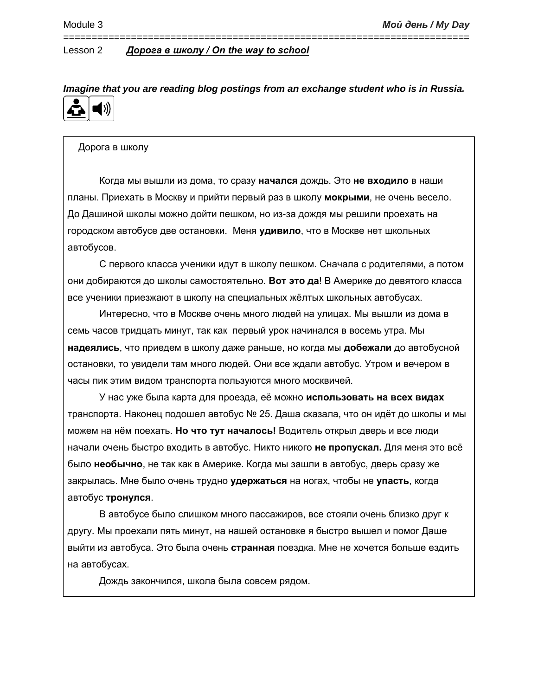*Imagine that you are reading blog postings from an exchange student who is in Russia.*

========================================================================

#### Дорога в школу

Когда мы вышли из дома, то сразу **начался** дождь. Это **не входило** в наши планы. Приехать в Москву и прийти первый раз в школу **мокрыми**, не очень весело. До Дашиной школы можно дойти пешком, но из-за дождя мы решили проехать на городском автобусе две остановки. Меня **удивило**, что в Москве нет школьных автобусов.

С первого класса ученики идут в школу пешком. Сначала с родителями, а потом они добираются до школы самостоятельно. **Вот это да**! В Америке до девятого класса все ученики приезжают в школу на специальных жёлтых школьных автобусах.

Интересно, что в Москве очень много людей на улицах. Мы вышли из дома в семь часов тридцать минут, так как первый урок начинался в восемь утра. Мы **надеялись**, что приедем в школу даже раньше, но когда мы **добежали** до автобусной остановки, то увидели там много людей. Они все ждали автобус. Утром и вечером в часы пик этим видом транспорта пользуются много москвичей.

У нас уже была карта для проезда, её можно **использовать на всех видах**  транспорта. Наконец подошел автобус № 25. Даша сказала, что он идёт до школы и мы можем на нём поехать. **Но что тут началось!** Водитель открыл дверь и все люди начали очень быстро входить в автобус. Никто никого **не пропускал.** Для меня это всё было **необычно**, не так как в Америке. Когда мы зашли в автобус, дверь сразу же закрылась. Мне было очень трудно **удержаться** на ногах, чтобы не **упасть**, когда автобус **тронулся**.

В автобусе было слишком много пассажиров, все стояли очень близко друг к другу. Мы проехали пять минут, на нашей остановке я быстро вышел и помог Даше выйти из автобуса. Это была очень **странная** поездка. Мне не хочется больше ездить на автобусах.

Дождь закончился, школа была совсем рядом.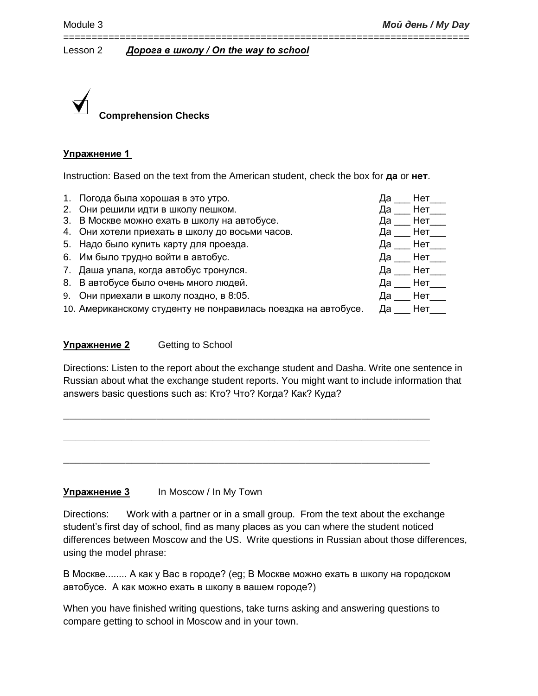

# **Упражнение 1**

Instruction: Based on the text from the American student, check the box for **да** or **нет**.

========================================================================

- 1. Погода была хорошая в это утро.
- 2. Они решили идти в школу пешком.
- 3. В Москве можно ехать в школу на автобусе.
- 4. Они хотели приехать в школу до восьми часов.
- 5. Надо было купить карту для проезда.
- 6. Им было трудно войти в автобус.
- 7. Даша упала, когда автобус тронулся.
- 8. В автобусе было очень много людей.
- 9. Они приехали в школу поздно, в 8:05.
- 10. Американскому студенту не понравилась поездка на автобусе.

# **Упражнение 2** Getting to School

Directions: Listen to the report about the exchange student and Dasha. Write one sentence in Russian about what the exchange student reports. You might want to include information that answers basic questions such as: Кто? Что? Когда? Как? Куда?

 $\_$  , and the set of the set of the set of the set of the set of the set of the set of the set of the set of the set of the set of the set of the set of the set of the set of the set of the set of the set of the set of th

 $\_$  , and the set of the set of the set of the set of the set of the set of the set of the set of the set of the set of the set of the set of the set of the set of the set of the set of the set of the set of the set of th

\_\_\_\_\_\_\_\_\_\_\_\_\_\_\_\_\_\_\_\_\_\_\_\_\_\_\_\_\_\_\_\_\_\_\_\_\_\_\_\_\_\_\_\_\_\_\_\_\_\_\_\_\_\_\_\_\_\_\_

# **Упражнение 3** In Moscow / In My Town

Directions: Work with a partner or in a small group. From the text about the exchange student's first day of school, find as many places as you can where the student noticed differences between Moscow and the US. Write questions in Russian about those differences, using the model phrase:

В Москве........ А как у Вас в городе? (eg; В Москве можно ехать в школу на городском автобусе. А как можно ехать в школу в вашем городе?)

When you have finished writing questions, take turns asking and answering questions to compare getting to school in Moscow and in your town.

| Да | Нет_     |
|----|----------|
| Да | Нет_     |
| Да | Нет_     |
| Да | Нет $\_$ |
| Да | Нет $\_$ |
| Да | Нет_     |
| Да | Нет_     |
| Да | Нет_     |
| Да | Нет      |
| Да | Нет      |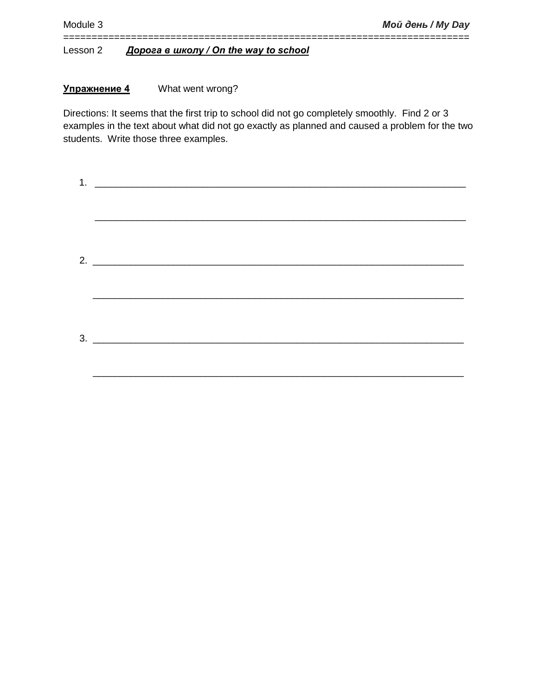# **Упражнение 4** What went wrong?

Directions: It seems that the first trip to school did not go completely smoothly. Find 2 or 3 examples in the text about what did not go exactly as planned and caused a problem for the two students. Write those three examples.

========================================================================

| $3.$ $\overline{\phantom{a}}$ |  |  |
|-------------------------------|--|--|
|                               |  |  |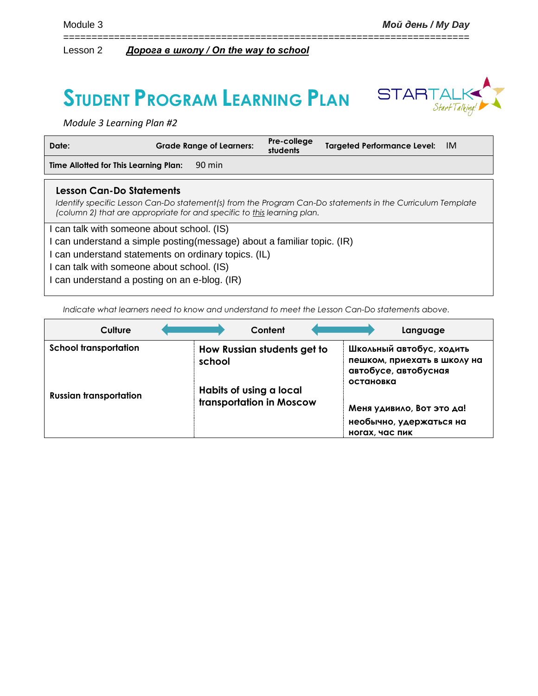# **STUDENT PROGRAM LEARNING PLAN**



*Module 3 Learning Plan #2*

| Date:                                                                                                                        | <b>Grade Range of Learners:</b>                                         | Pre-college<br>students | <b>Targeted Performance Level:</b>                                                                         | - IM |
|------------------------------------------------------------------------------------------------------------------------------|-------------------------------------------------------------------------|-------------------------|------------------------------------------------------------------------------------------------------------|------|
| Time Allotted for This Learning Plan:                                                                                        | 90 min                                                                  |                         |                                                                                                            |      |
| <b>Lesson Can-Do Statements</b>                                                                                              | (column 2) that are appropriate for and specific to this learning plan. |                         | Identify specific Lesson Can-Do statement(s) from the Program Can-Do statements in the Curriculum Template |      |
| can talk with someone about school. (IS)                                                                                     |                                                                         |                         |                                                                                                            |      |
| can understand a simple posting (message) about a familiar topic. (IR)<br>can understand statements on ordinary topics. (IL) |                                                                         |                         |                                                                                                            |      |
| can talk with someone about school. (IS)                                                                                     |                                                                         |                         |                                                                                                            |      |
|                                                                                                                              | can understand a posting on an e-blog. (IR)                             |                         |                                                                                                            |      |

========================================================================

*Indicate what learners need to know and understand to meet the Lesson Can-Do statements above.* 

| Culture                       |        | Content                                                                            |  |                | Language                                                                        |
|-------------------------------|--------|------------------------------------------------------------------------------------|--|----------------|---------------------------------------------------------------------------------|
| <b>School transportation</b>  | school | How Russian students get to<br>Habits of using a local<br>transportation in Moscow |  | остановка      | Школьный автобус, ходить<br>пешком, приехать в школу на<br>автобусе, автобусная |
| <b>Russian transportation</b> |        |                                                                                    |  | ногах, час пик | Меня удивило, Вот это да!<br>необычно, удержаться на                            |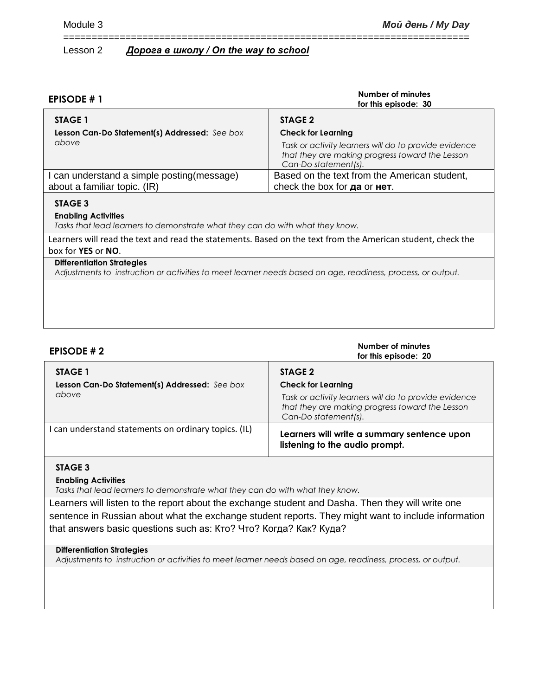| <b>EPISODE #1</b>                                                                                                                                | Number of minutes<br>for this episode: 30                                                                                        |  |  |
|--------------------------------------------------------------------------------------------------------------------------------------------------|----------------------------------------------------------------------------------------------------------------------------------|--|--|
| STAGE 1                                                                                                                                          | STAGE 2                                                                                                                          |  |  |
| <b>Lesson Can-Do Statement(s) Addressed:</b> See box                                                                                             | <b>Check for Learning</b>                                                                                                        |  |  |
| above                                                                                                                                            | Task or activity learners will do to provide evidence<br>that they are making progress toward the Lesson<br>Can-Do statement(s). |  |  |
| I can understand a simple posting (message)                                                                                                      | Based on the text from the American student,                                                                                     |  |  |
| about a familiar topic. (IR)                                                                                                                     | check the box for <b>да</b> or <b>нет</b> .                                                                                      |  |  |
| STAGE 3<br><b>Enabling Activities</b><br>Tasks that lead learners to demonstrate what they can do with what they know.                           |                                                                                                                                  |  |  |
| Learners will read the text and read the statements. Based on the text from the American student, check the                                      |                                                                                                                                  |  |  |
| box for <b>YES</b> or <b>NO</b> .                                                                                                                |                                                                                                                                  |  |  |
| <b>Differentiation Strategies</b><br>Adjustments to instruction or activities to meet learner needs based on age, readiness, process, or output. |                                                                                                                                  |  |  |
|                                                                                                                                                  |                                                                                                                                  |  |  |

========================================================================

| <b>EPISODE #2</b>                                      | Number of minutes<br>for this episode: 20                                                                                                                     |
|--------------------------------------------------------|---------------------------------------------------------------------------------------------------------------------------------------------------------------|
| STAGE 1                                                | STAGE 2                                                                                                                                                       |
| Lesson Can-Do Statement(s) Addressed: See box<br>above | <b>Check for Learning</b><br>Task or activity learners will do to provide evidence<br>that they are making progress toward the Lesson<br>Can-Do statement(s). |
| I can understand statements on ordinary topics. (IL)   | Learners will write a summary sentence upon<br>listening to the audio prompt.                                                                                 |

#### **STAGE 3**

#### **Enabling Activities**

*Tasks that lead learners to demonstrate what they can do with what they know.*

Learners will listen to the report about the exchange student and Dasha. Then they will write one sentence in Russian about what the exchange student reports. They might want to include information that answers basic questions such as: Кто? Что? Когда? Как? Куда?

### **Differentiation Strategies**

*Adjustments to instruction or activities to meet learner needs based on age, readiness, process, or output.*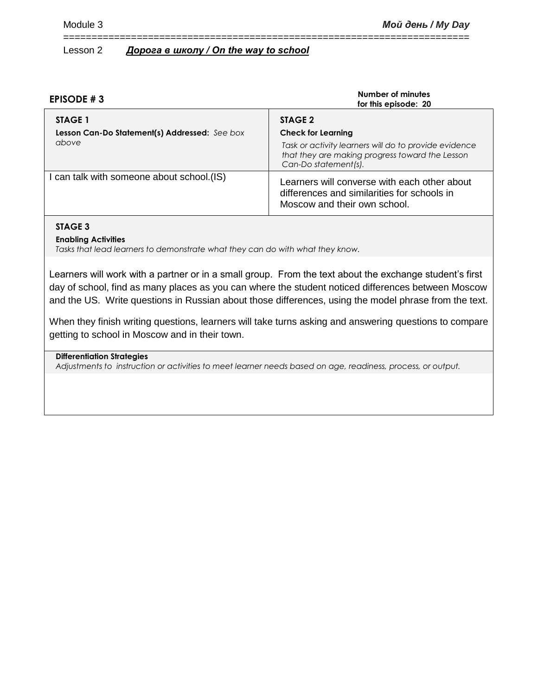| EPISODE #3                                                        | Number of minutes<br>for this episode: 20                                                                                                                                |
|-------------------------------------------------------------------|--------------------------------------------------------------------------------------------------------------------------------------------------------------------------|
| STAGE 1<br>Lesson Can-Do Statement(s) Addressed: See box<br>above | STAGE 2<br><b>Check for Learning</b><br>Task or activity learners will do to provide evidence<br>that they are making progress toward the Lesson<br>Can-Do statement(s). |
| I can talk with someone about school.(IS)                         | Learners will converse with each other about<br>differences and similarities for schools in<br>Moscow and their own school.                                              |

========================================================================

# **STAGE 3**

**Enabling Activities**

*Tasks that lead learners to demonstrate what they can do with what they know.*

Learners will work with a partner or in a small group. From the text about the exchange student's first day of school, find as many places as you can where the student noticed differences between Moscow and the US. Write questions in Russian about those differences, using the model phrase from the text.

When they finish writing questions, learners will take turns asking and answering questions to compare getting to school in Moscow and in their town.

#### **Differentiation Strategies**

*Adjustments to instruction or activities to meet learner needs based on age, readiness, process, or output.*